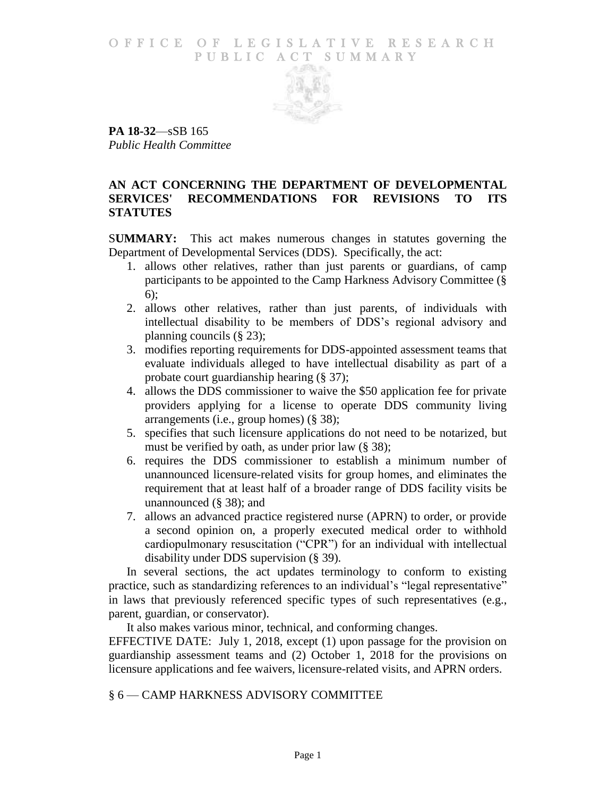### O F FICE OF LEGISLATIVE RESEARCH PUBLIC ACT SUMMARY



**PA 18-32**—sSB 165 *Public Health Committee*

# **AN ACT CONCERNING THE DEPARTMENT OF DEVELOPMENTAL SERVICES' RECOMMENDATIONS FOR REVISIONS TO ITS STATUTES**

S**UMMARY:** This act makes numerous changes in statutes governing the Department of Developmental Services (DDS). Specifically, the act:

- 1. allows other relatives, rather than just parents or guardians, of camp participants to be appointed to the Camp Harkness Advisory Committee (§ 6);
- 2. allows other relatives, rather than just parents, of individuals with intellectual disability to be members of DDS's regional advisory and planning councils (§ 23);
- 3. modifies reporting requirements for DDS-appointed assessment teams that evaluate individuals alleged to have intellectual disability as part of a probate court guardianship hearing (§ 37);
- 4. allows the DDS commissioner to waive the \$50 application fee for private providers applying for a license to operate DDS community living arrangements (i.e., group homes) (§ 38);
- 5. specifies that such licensure applications do not need to be notarized, but must be verified by oath, as under prior law (§ 38);
- 6. requires the DDS commissioner to establish a minimum number of unannounced licensure-related visits for group homes, and eliminates the requirement that at least half of a broader range of DDS facility visits be unannounced (§ 38); and
- 7. allows an advanced practice registered nurse (APRN) to order, or provide a second opinion on, a properly executed medical order to withhold cardiopulmonary resuscitation ("CPR") for an individual with intellectual disability under DDS supervision (§ 39).

In several sections, the act updates terminology to conform to existing practice, such as standardizing references to an individual's "legal representative" in laws that previously referenced specific types of such representatives (e.g., parent, guardian, or conservator).

It also makes various minor, technical, and conforming changes.

EFFECTIVE DATE: July 1, 2018, except (1) upon passage for the provision on guardianship assessment teams and (2) October 1, 2018 for the provisions on licensure applications and fee waivers, licensure-related visits, and APRN orders.

§ 6 — CAMP HARKNESS ADVISORY COMMITTEE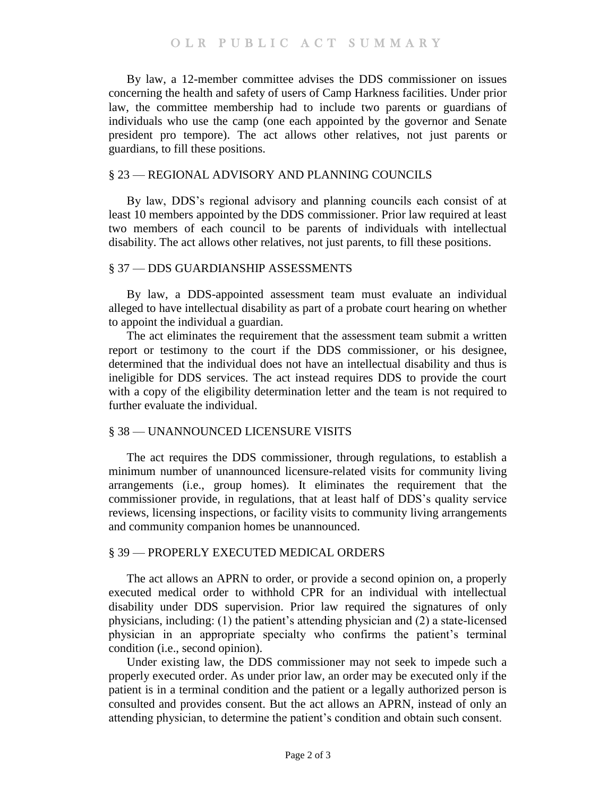By law, a 12-member committee advises the DDS commissioner on issues concerning the health and safety of users of Camp Harkness facilities. Under prior law, the committee membership had to include two parents or guardians of individuals who use the camp (one each appointed by the governor and Senate president pro tempore). The act allows other relatives, not just parents or guardians, to fill these positions.

#### § 23 — REGIONAL ADVISORY AND PLANNING COUNCILS

By law, DDS's regional advisory and planning councils each consist of at least 10 members appointed by the DDS commissioner. Prior law required at least two members of each council to be parents of individuals with intellectual disability. The act allows other relatives, not just parents, to fill these positions.

### § 37 — DDS GUARDIANSHIP ASSESSMENTS

By law, a DDS-appointed assessment team must evaluate an individual alleged to have intellectual disability as part of a probate court hearing on whether to appoint the individual a guardian.

The act eliminates the requirement that the assessment team submit a written report or testimony to the court if the DDS commissioner, or his designee, determined that the individual does not have an intellectual disability and thus is ineligible for DDS services. The act instead requires DDS to provide the court with a copy of the eligibility determination letter and the team is not required to further evaluate the individual.

## § 38 — UNANNOUNCED LICENSURE VISITS

The act requires the DDS commissioner, through regulations, to establish a minimum number of unannounced licensure-related visits for community living arrangements (i.e., group homes). It eliminates the requirement that the commissioner provide, in regulations, that at least half of DDS's quality service reviews, licensing inspections, or facility visits to community living arrangements and community companion homes be unannounced.

#### § 39 — PROPERLY EXECUTED MEDICAL ORDERS

The act allows an APRN to order, or provide a second opinion on, a properly executed medical order to withhold CPR for an individual with intellectual disability under DDS supervision. Prior law required the signatures of only physicians, including: (1) the patient's attending physician and (2) a state-licensed physician in an appropriate specialty who confirms the patient's terminal condition (i.e., second opinion).

Under existing law, the DDS commissioner may not seek to impede such a properly executed order. As under prior law, an order may be executed only if the patient is in a terminal condition and the patient or a legally authorized person is consulted and provides consent. But the act allows an APRN, instead of only an attending physician, to determine the patient's condition and obtain such consent.